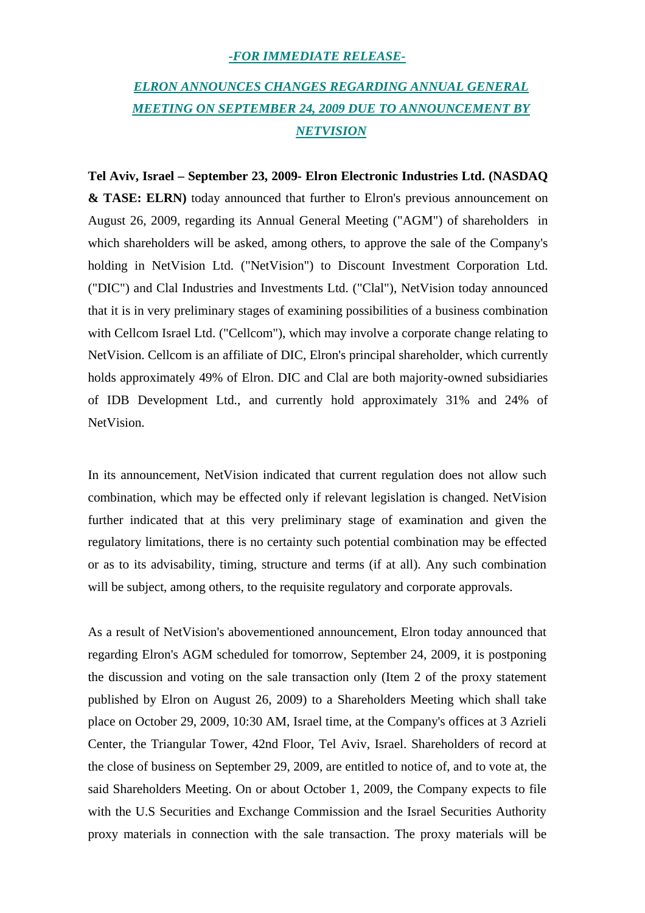## *-FOR IMMEDIATE RELEASE-*

## *ELRON ANNOUNCES CHANGES REGARDING ANNUAL GENERAL MEETING ON SEPTEMBER 24, 2009 DUE TO ANNOUNCEMENT BY NETVISION*

**Tel Aviv, Israel – September 23, 2009- Elron Electronic Industries Ltd. (NASDAQ & TASE: ELRN)** today announced that further to Elron's previous announcement on August 26, 2009, regarding its Annual General Meeting ("AGM") of shareholders in which shareholders will be asked, among others, to approve the sale of the Company's holding in NetVision Ltd. ("NetVision") to Discount Investment Corporation Ltd. ("DIC") and Clal Industries and Investments Ltd. ("Clal"), NetVision today announced that it is in very preliminary stages of examining possibilities of a business combination with Cellcom Israel Ltd. ("Cellcom"), which may involve a corporate change relating to NetVision. Cellcom is an affiliate of DIC, Elron's principal shareholder, which currently holds approximately 49% of Elron. DIC and Clal are both majority-owned subsidiaries of IDB Development Ltd., and currently hold approximately 31% and 24% of NetVision.

In its announcement, NetVision indicated that current regulation does not allow such combination, which may be effected only if relevant legislation is changed. NetVision further indicated that at this very preliminary stage of examination and given the regulatory limitations, there is no certainty such potential combination may be effected or as to its advisability, timing, structure and terms (if at all). Any such combination will be subject, among others, to the requisite regulatory and corporate approvals.

As a result of NetVision's abovementioned announcement, Elron today announced that regarding Elron's AGM scheduled for tomorrow, September 24, 2009, it is postponing the discussion and voting on the sale transaction only (Item 2 of the proxy statement published by Elron on August 26, 2009) to a Shareholders Meeting which shall take place on October 29, 2009, 10:30 AM, Israel time, at the Company's offices at 3 Azrieli Center, the Triangular Tower, 42nd Floor, Tel Aviv, Israel. Shareholders of record at the close of business on September 29, 2009, are entitled to notice of, and to vote at, the said Shareholders Meeting. On or about October 1, 2009, the Company expects to file with the U.S Securities and Exchange Commission and the Israel Securities Authority proxy materials in connection with the sale transaction. The proxy materials will be